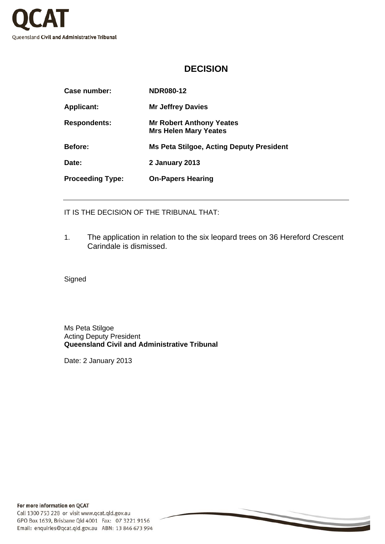

## **DECISION**

| Case number:            | <b>NDR080-12</b>                                                |
|-------------------------|-----------------------------------------------------------------|
| <b>Applicant:</b>       | <b>Mr Jeffrey Davies</b>                                        |
| <b>Respondents:</b>     | <b>Mr Robert Anthony Yeates</b><br><b>Mrs Helen Mary Yeates</b> |
| <b>Before:</b>          | <b>Ms Peta Stilgoe, Acting Deputy President</b>                 |
| Date:                   | <b>2 January 2013</b>                                           |
| <b>Proceeding Type:</b> | <b>On-Papers Hearing</b>                                        |

IT IS THE DECISION OF THE TRIBUNAL THAT:

1. The application in relation to the six leopard trees on 36 Hereford Crescent Carindale is dismissed.

Signed

Ms Peta Stilgoe Acting Deputy President **Queensland Civil and Administrative Tribunal** 

Date: 2 January 2013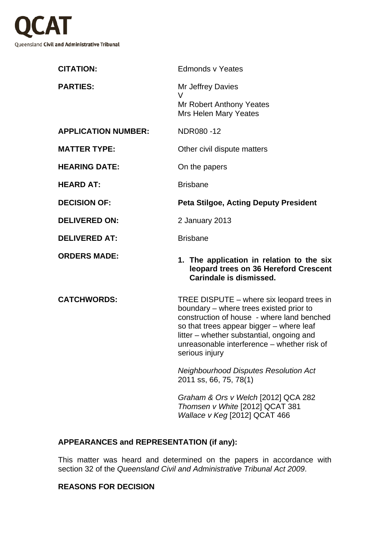

| <b>Edmonds v Yeates</b>                                                                                                                                                                                                                                                                                                                                                |
|------------------------------------------------------------------------------------------------------------------------------------------------------------------------------------------------------------------------------------------------------------------------------------------------------------------------------------------------------------------------|
| Mr Jeffrey Davies<br>V<br>Mr Robert Anthony Yeates<br><b>Mrs Helen Mary Yeates</b>                                                                                                                                                                                                                                                                                     |
| NDR080-12                                                                                                                                                                                                                                                                                                                                                              |
| Other civil dispute matters                                                                                                                                                                                                                                                                                                                                            |
| On the papers                                                                                                                                                                                                                                                                                                                                                          |
| <b>Brisbane</b>                                                                                                                                                                                                                                                                                                                                                        |
| <b>Peta Stilgoe, Acting Deputy President</b>                                                                                                                                                                                                                                                                                                                           |
| 2 January 2013                                                                                                                                                                                                                                                                                                                                                         |
| <b>Brisbane</b>                                                                                                                                                                                                                                                                                                                                                        |
| 1. The application in relation to the six<br>leopard trees on 36 Hereford Crescent<br>Carindale is dismissed.                                                                                                                                                                                                                                                          |
| TREE DISPUTE – where six leopard trees in<br>boundary - where trees existed prior to<br>construction of house - where land benched<br>so that trees appear bigger - where leaf<br>litter – whether substantial, ongoing and<br>unreasonable interference - whether risk of<br>serious injury<br><b>Neighbourhood Disputes Resolution Act</b><br>2011 ss, 66, 75, 78(1) |
|                                                                                                                                                                                                                                                                                                                                                                        |

*Graham & Ors v Welch* [2012] QCA 282 *Thomsen v White* [2012] QCAT 381 *Wallace v Keg* [2012] QCAT 466

## **APPEARANCES and REPRESENTATION (if any):**

This matter was heard and determined on the papers in accordance with section 32 of the *Queensland Civil and Administrative Tribunal Act 2009*.

## **REASONS FOR DECISION**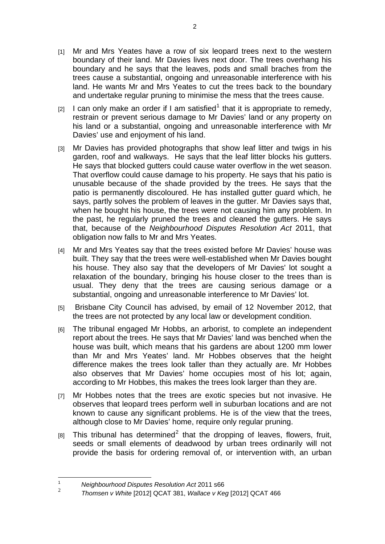- [1] Mr and Mrs Yeates have a row of six leopard trees next to the western boundary of their land. Mr Davies lives next door. The trees overhang his boundary and he says that the leaves, pods and small braches from the trees cause a substantial, ongoing and unreasonable interference with his land. He wants Mr and Mrs Yeates to cut the trees back to the boundary and undertake regular pruning to minimise the mess that the trees cause.
- [2] I can only make an order if I am satisfied<sup>[1](#page-2-0)</sup> that it is appropriate to remedy, restrain or prevent serious damage to Mr Davies' land or any property on his land or a substantial, ongoing and unreasonable interference with Mr Davies' use and enjoyment of his land.
- [3] Mr Davies has provided photographs that show leaf litter and twigs in his garden, roof and walkways. He says that the leaf litter blocks his gutters. He says that blocked gutters could cause water overflow in the wet season. That overflow could cause damage to his property. He says that his patio is unusable because of the shade provided by the trees. He says that the patio is permanently discoloured. He has installed gutter guard which, he says, partly solves the problem of leaves in the gutter. Mr Davies says that, when he bought his house, the trees were not causing him any problem. In the past, he regularly pruned the trees and cleaned the gutters. He says that, because of the *Neighbourhood Disputes Resolution Act* 2011, that obligation now falls to Mr and Mrs Yeates.
- [4] Mr and Mrs Yeates say that the trees existed before Mr Davies' house was built. They say that the trees were well-established when Mr Davies bought his house. They also say that the developers of Mr Davies' lot sought a relaxation of the boundary, bringing his house closer to the trees than is usual. They deny that the trees are causing serious damage or a substantial, ongoing and unreasonable interference to Mr Davies' lot.
- [5] Brisbane City Council has advised, by email of 12 November 2012, that the trees are not protected by any local law or development condition.
- [6] The tribunal engaged Mr Hobbs, an arborist, to complete an independent report about the trees. He says that Mr Davies' land was benched when the house was built, which means that his gardens are about 1200 mm lower than Mr and Mrs Yeates' land. Mr Hobbes observes that the height difference makes the trees look taller than they actually are. Mr Hobbes also observes that Mr Davies' home occupies most of his lot; again, according to Mr Hobbes, this makes the trees look larger than they are.
- [7] Mr Hobbes notes that the trees are exotic species but not invasive. He observes that leopard trees perform well in suburban locations and are not known to cause any significant problems. He is of the view that the trees, although close to Mr Davies' home, require only regular pruning.
- $[8]$  This tribunal has determined<sup>[2](#page-2-1)</sup> that the dropping of leaves, flowers, fruit, seeds or small elements of deadwood by urban trees ordinarily will not provide the basis for ordering removal of, or intervention with, an urban

 $\frac{1}{1}$ *Neighbourhood Disputes Resolution Act* 2011 s66

<span id="page-2-1"></span><span id="page-2-0"></span> $\mathfrak{Z}$ *Thomsen v White* [\[2012\] QCAT 381](http://www.austlii.edu.au/au/cases/qld/QCAT/2012/381.html), *Wallace v Keg* [2012] QCAT 466